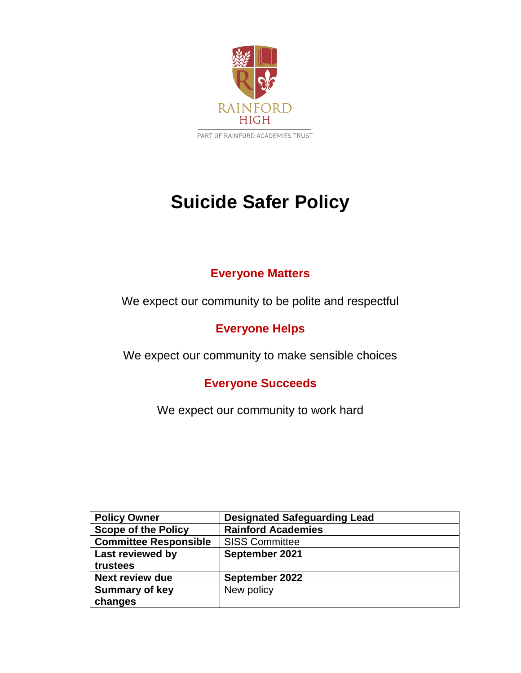

### **Suicide Safer Policy**

### **Everyone Matters**

We expect our community to be polite and respectful

### **Everyone Helps**

We expect our community to make sensible choices

### **Everyone Succeeds**

We expect our community to work hard

| <b>Policy Owner</b>          | <b>Designated Safeguarding Lead</b> |
|------------------------------|-------------------------------------|
| <b>Scope of the Policy</b>   | <b>Rainford Academies</b>           |
| <b>Committee Responsible</b> | <b>SISS Committee</b>               |
| Last reviewed by             | September 2021                      |
| trustees                     |                                     |
| <b>Next review due</b>       | September 2022                      |
| <b>Summary of key</b>        | New policy                          |
| changes                      |                                     |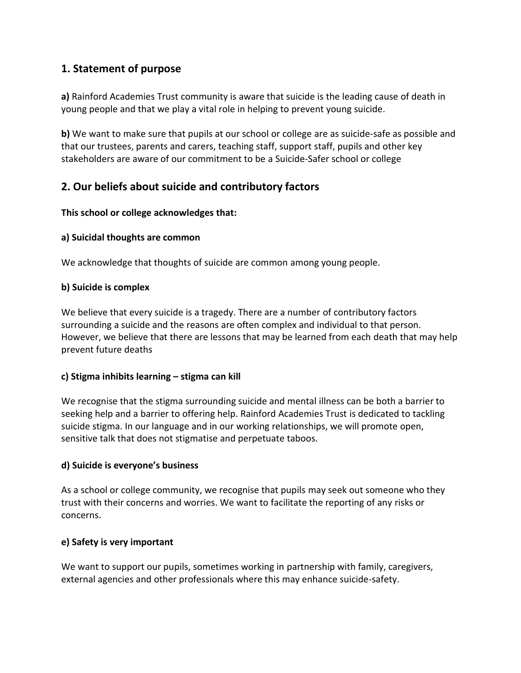### **1. Statement of purpose**

**a)** Rainford Academies Trust community is aware that suicide is the leading cause of death in young people and that we play a vital role in helping to prevent young suicide.

**b)** We want to make sure that pupils at our school or college are as suicide-safe as possible and that our trustees, parents and carers, teaching staff, support staff, pupils and other key stakeholders are aware of our commitment to be a Suicide-Safer school or college

### **2. Our beliefs about suicide and contributory factors**

### **This school or college acknowledges that:**

### **a) Suicidal thoughts are common**

We acknowledge that thoughts of suicide are common among young people.

### **b) Suicide is complex**

We believe that every suicide is a tragedy. There are a number of contributory factors surrounding a suicide and the reasons are often complex and individual to that person. However, we believe that there are lessons that may be learned from each death that may help prevent future deaths

### **c) Stigma inhibits learning – stigma can kill**

We recognise that the stigma surrounding suicide and mental illness can be both a barrier to seeking help and a barrier to offering help. Rainford Academies Trust is dedicated to tackling suicide stigma. In our language and in our working relationships, we will promote open, sensitive talk that does not stigmatise and perpetuate taboos.

### **d) Suicide is everyone's business**

As a school or college community, we recognise that pupils may seek out someone who they trust with their concerns and worries. We want to facilitate the reporting of any risks or concerns.

### **e) Safety is very important**

We want to support our pupils, sometimes working in partnership with family, caregivers, external agencies and other professionals where this may enhance suicide-safety.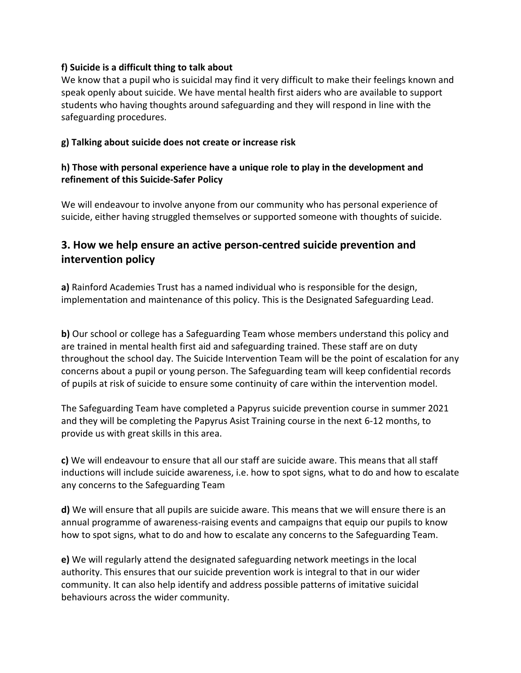### **f) Suicide is a difficult thing to talk about**

We know that a pupil who is suicidal may find it very difficult to make their feelings known and speak openly about suicide. We have mental health first aiders who are available to support students who having thoughts around safeguarding and they will respond in line with the safeguarding procedures.

### **g) Talking about suicide does not create or increase risk**

### **h) Those with personal experience have a unique role to play in the development and refinement of this Suicide-Safer Policy**

We will endeavour to involve anyone from our community who has personal experience of suicide, either having struggled themselves or supported someone with thoughts of suicide.

### **3. How we help ensure an active person-centred suicide prevention and intervention policy**

**a)** Rainford Academies Trust has a named individual who is responsible for the design, implementation and maintenance of this policy. This is the Designated Safeguarding Lead.

**b)** Our school or college has a Safeguarding Team whose members understand this policy and are trained in mental health first aid and safeguarding trained. These staff are on duty throughout the school day. The Suicide Intervention Team will be the point of escalation for any concerns about a pupil or young person. The Safeguarding team will keep confidential records of pupils at risk of suicide to ensure some continuity of care within the intervention model.

The Safeguarding Team have completed a Papyrus suicide prevention course in summer 2021 and they will be completing the Papyrus Asist Training course in the next 6-12 months, to provide us with great skills in this area.

**c)** We will endeavour to ensure that all our staff are suicide aware. This means that all staff inductions will include suicide awareness, i.e. how to spot signs, what to do and how to escalate any concerns to the Safeguarding Team

**d)** We will ensure that all pupils are suicide aware. This means that we will ensure there is an annual programme of awareness-raising events and campaigns that equip our pupils to know how to spot signs, what to do and how to escalate any concerns to the Safeguarding Team.

**e)** We will regularly attend the designated safeguarding network meetings in the local authority. This ensures that our suicide prevention work is integral to that in our wider community. It can also help identify and address possible patterns of imitative suicidal behaviours across the wider community.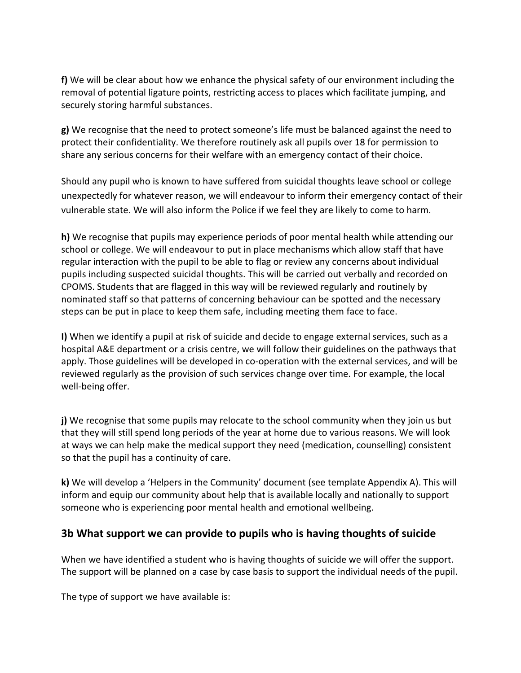**f)** We will be clear about how we enhance the physical safety of our environment including the removal of potential ligature points, restricting access to places which facilitate jumping, and securely storing harmful substances.

**g)** We recognise that the need to protect someone's life must be balanced against the need to protect their confidentiality. We therefore routinely ask all pupils over 18 for permission to share any serious concerns for their welfare with an emergency contact of their choice.

Should any pupil who is known to have suffered from suicidal thoughts leave school or college unexpectedly for whatever reason, we will endeavour to inform their emergency contact of their vulnerable state. We will also inform the Police if we feel they are likely to come to harm.

**h)** We recognise that pupils may experience periods of poor mental health while attending our school or college. We will endeavour to put in place mechanisms which allow staff that have regular interaction with the pupil to be able to flag or review any concerns about individual pupils including suspected suicidal thoughts. This will be carried out verbally and recorded on CPOMS. Students that are flagged in this way will be reviewed regularly and routinely by nominated staff so that patterns of concerning behaviour can be spotted and the necessary steps can be put in place to keep them safe, including meeting them face to face.

**I)** When we identify a pupil at risk of suicide and decide to engage external services, such as a hospital A&E department or a crisis centre, we will follow their guidelines on the pathways that apply. Those guidelines will be developed in co-operation with the external services, and will be reviewed regularly as the provision of such services change over time. For example, the local well-being offer.

**j)** We recognise that some pupils may relocate to the school community when they join us but that they will still spend long periods of the year at home due to various reasons. We will look at ways we can help make the medical support they need (medication, counselling) consistent so that the pupil has a continuity of care.

**k)** We will develop a 'Helpers in the Community' document (see template Appendix A). This will inform and equip our community about help that is available locally and nationally to support someone who is experiencing poor mental health and emotional wellbeing.

### **3b What support we can provide to pupils who is having thoughts of suicide**

When we have identified a student who is having thoughts of suicide we will offer the support. The support will be planned on a case by case basis to support the individual needs of the pupil.

The type of support we have available is: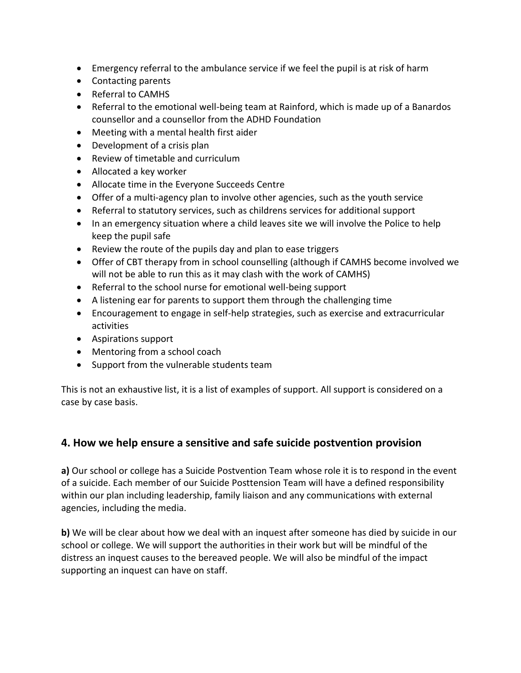- Emergency referral to the ambulance service if we feel the pupil is at risk of harm
- Contacting parents
- Referral to CAMHS
- Referral to the emotional well-being team at Rainford, which is made up of a Banardos counsellor and a counsellor from the ADHD Foundation
- Meeting with a mental health first aider
- Development of a crisis plan
- Review of timetable and curriculum
- Allocated a key worker
- Allocate time in the Everyone Succeeds Centre
- Offer of a multi-agency plan to involve other agencies, such as the youth service
- Referral to statutory services, such as childrens services for additional support
- In an emergency situation where a child leaves site we will involve the Police to help keep the pupil safe
- Review the route of the pupils day and plan to ease triggers
- Offer of CBT therapy from in school counselling (although if CAMHS become involved we will not be able to run this as it may clash with the work of CAMHS)
- Referral to the school nurse for emotional well-being support
- A listening ear for parents to support them through the challenging time
- Encouragement to engage in self-help strategies, such as exercise and extracurricular activities
- Aspirations support
- Mentoring from a school coach
- Support from the vulnerable students team

This is not an exhaustive list, it is a list of examples of support. All support is considered on a case by case basis.

### **4. How we help ensure a sensitive and safe suicide postvention provision**

**a)** Our school or college has a Suicide Postvention Team whose role it is to respond in the event of a suicide. Each member of our Suicide Posttension Team will have a defined responsibility within our plan including leadership, family liaison and any communications with external agencies, including the media.

**b)** We will be clear about how we deal with an inquest after someone has died by suicide in our school or college. We will support the authorities in their work but will be mindful of the distress an inquest causes to the bereaved people. We will also be mindful of the impact supporting an inquest can have on staff.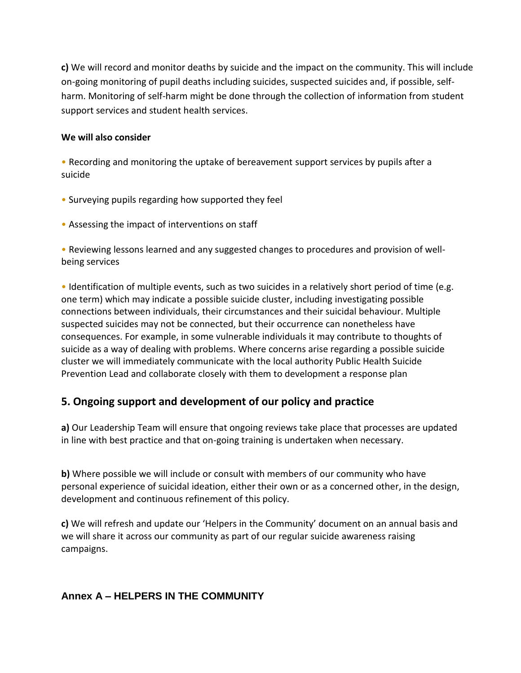**c)** We will record and monitor deaths by suicide and the impact on the community. This will include on-going monitoring of pupil deaths including suicides, suspected suicides and, if possible, selfharm. Monitoring of self-harm might be done through the collection of information from student support services and student health services.

### **We will also consider**

• Recording and monitoring the uptake of bereavement support services by pupils after a suicide

- Surveying pupils regarding how supported they feel
- Assessing the impact of interventions on staff

• Reviewing lessons learned and any suggested changes to procedures and provision of wellbeing services

• Identification of multiple events, such as two suicides in a relatively short period of time (e.g. one term) which may indicate a possible suicide cluster, including investigating possible connections between individuals, their circumstances and their suicidal behaviour. Multiple suspected suicides may not be connected, but their occurrence can nonetheless have consequences. For example, in some vulnerable individuals it may contribute to thoughts of suicide as a way of dealing with problems. Where concerns arise regarding a possible suicide cluster we will immediately communicate with the local authority Public Health Suicide Prevention Lead and collaborate closely with them to development a response plan

### **5. Ongoing support and development of our policy and practice**

**a)** Our Leadership Team will ensure that ongoing reviews take place that processes are updated in line with best practice and that on-going training is undertaken when necessary.

**b)** Where possible we will include or consult with members of our community who have personal experience of suicidal ideation, either their own or as a concerned other, in the design, development and continuous refinement of this policy.

**c)** We will refresh and update our 'Helpers in the Community' document on an annual basis and we will share it across our community as part of our regular suicide awareness raising campaigns.

### **Annex A – HELPERS IN THE COMMUNITY**